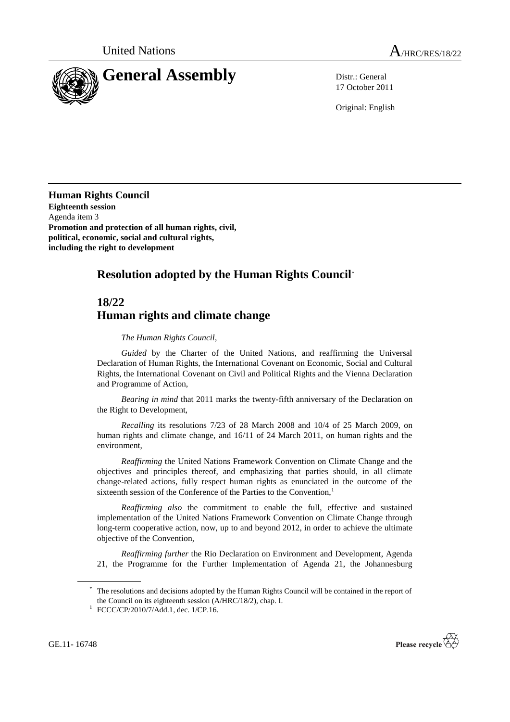

17 October 2011

Original: English

**Human Rights Council Eighteenth session** Agenda item 3 **Promotion and protection of all human rights, civil, political, economic, social and cultural rights, including the right to development** 

## **Resolution adopted by the Human Rights Council**\*

## **18/22 Human rights and climate change**

## *The Human Rights Council*,

*Guided* by the Charter of the United Nations, and reaffirming the Universal Declaration of Human Rights, the International Covenant on Economic, Social and Cultural Rights, the International Covenant on Civil and Political Rights and the Vienna Declaration and Programme of Action,

*Bearing in mind* that 2011 marks the twenty-fifth anniversary of the Declaration on the Right to Development,

*Recalling* its resolutions 7/23 of 28 March 2008 and 10/4 of 25 March 2009, on human rights and climate change, and 16/11 of 24 March 2011, on human rights and the environment,

*Reaffirming* the United Nations Framework Convention on Climate Change and the objectives and principles thereof, and emphasizing that parties should, in all climate change-related actions, fully respect human rights as enunciated in the outcome of the sixteenth session of the Conference of the Parties to the Convention,<sup>1</sup>

*Reaffirming also* the commitment to enable the full, effective and sustained implementation of the United Nations Framework Convention on Climate Change through long-term cooperative action, now, up to and beyond 2012, in order to achieve the ultimate objective of the Convention,

*Reaffirming further* the Rio Declaration on Environment and Development, Agenda 21, the Programme for the Further Implementation of Agenda 21, the Johannesburg

GE.11- 16748



The resolutions and decisions adopted by the Human Rights Council will be contained in the report of the Council on its eighteenth session (A/HRC/18/2), chap. I.

<sup>1</sup> FCCC/CP/2010/7/Add.1, dec. 1/CP.16.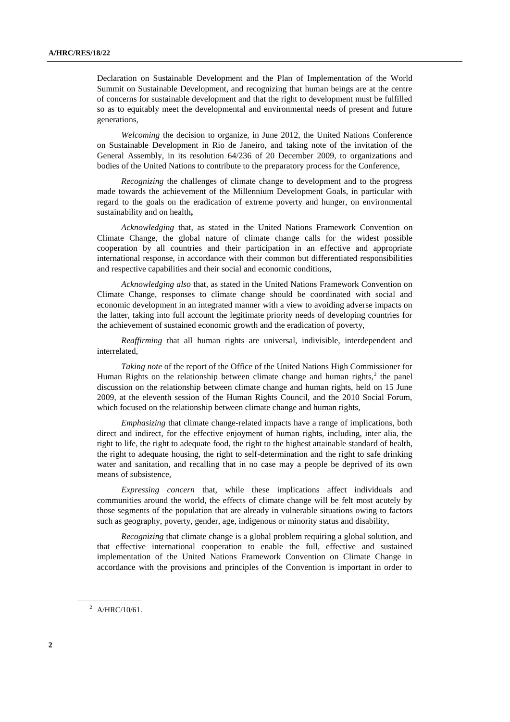Declaration on Sustainable Development and the Plan of Implementation of the World Summit on Sustainable Development, and recognizing that human beings are at the centre of concerns for sustainable development and that the right to development must be fulfilled so as to equitably meet the developmental and environmental needs of present and future generations,

*Welcoming* the decision to organize, in June 2012, the United Nations Conference on Sustainable Development in Rio de Janeiro, and taking note of the invitation of the General Assembly, in its resolution 64/236 of 20 December 2009, to organizations and bodies of the United Nations to contribute to the preparatory process for the Conference,

*Recognizing* the challenges of climate change to development and to the progress made towards the achievement of the Millennium Development Goals, in particular with regard to the goals on the eradication of extreme poverty and hunger, on environmental sustainability and on health**,** 

*Acknowledging* that, as stated in the United Nations Framework Convention on Climate Change, the global nature of climate change calls for the widest possible cooperation by all countries and their participation in an effective and appropriate international response, in accordance with their common but differentiated responsibilities and respective capabilities and their social and economic conditions,

*Acknowledging also* that, as stated in the United Nations Framework Convention on Climate Change, responses to climate change should be coordinated with social and economic development in an integrated manner with a view to avoiding adverse impacts on the latter, taking into full account the legitimate priority needs of developing countries for the achievement of sustained economic growth and the eradication of poverty,

*Reaffirming* that all human rights are universal, indivisible, interdependent and interrelated,

*Taking note* of the report of the Office of the United Nations High Commissioner for Human Rights on the relationship between climate change and human rights, $2$  the panel discussion on the relationship between climate change and human rights, held on 15 June 2009, at the eleventh session of the Human Rights Council, and the 2010 Social Forum, which focused on the relationship between climate change and human rights,

*Emphasizing* that climate change-related impacts have a range of implications, both direct and indirect, for the effective enjoyment of human rights, including, inter alia, the right to life, the right to adequate food, the right to the highest attainable standard of health, the right to adequate housing, the right to self-determination and the right to safe drinking water and sanitation, and recalling that in no case may a people be deprived of its own means of subsistence,

*Expressing concern* that, while these implications affect individuals and communities around the world, the effects of climate change will be felt most acutely by those segments of the population that are already in vulnerable situations owing to factors such as geography, poverty, gender, age, indigenous or minority status and disability,

*Recognizing* that climate change is a global problem requiring a global solution, and that effective international cooperation to enable the full, effective and sustained implementation of the United Nations Framework Convention on Climate Change in accordance with the provisions and principles of the Convention is important in order to

 $^{2}$  A/HRC/10/61.